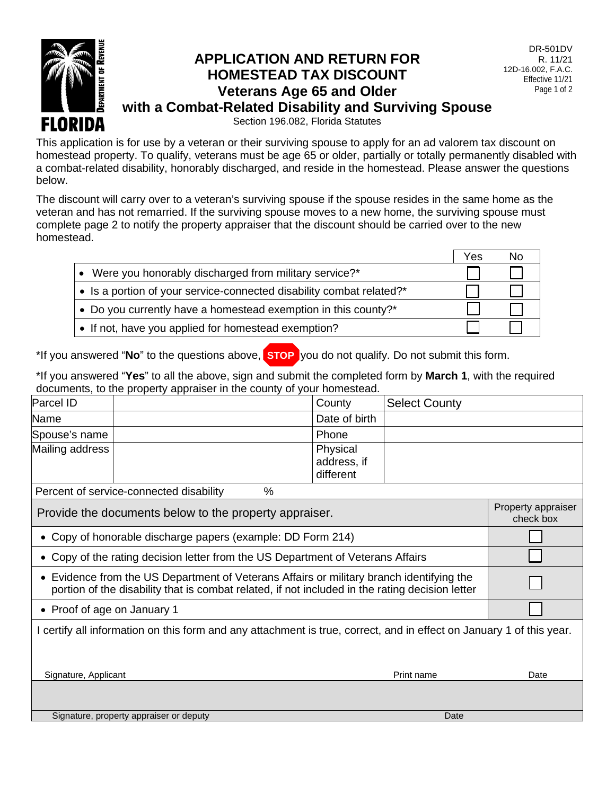

## **APPLICATION AND RETURN FOR HOMESTEAD TAX DISCOUNT Veterans Age 65 and Older with a Combat-Related Disability and Surviving Spouse**

DR-501DV R. 11/21 12D-16.002, F.A.C. Effective 11/21 Page 1 of 2

Section 196.082, Florida Statutes

This application is for use by a veteran or their surviving spouse to apply for an ad valorem tax discount on homestead property. To qualify, veterans must be age 65 or older, partially or totally permanently disabled with a combat-related disability, honorably discharged, and reside in the homestead. Please answer the questions below.

The discount will carry over to a veteran's surviving spouse if the spouse resides in the same home as the veteran and has not remarried. If the surviving spouse moves to a new home, the surviving spouse must complete page 2 to notify the property appraiser that the discount should be carried over to the new homestead.

|                                                                      | Yes | No |
|----------------------------------------------------------------------|-----|----|
| • Were you honorably discharged from military service?*              |     |    |
| • Is a portion of your service-connected disability combat related?* |     |    |
| • Do you currently have a homestead exemption in this county?*       |     |    |
| • If not, have you applied for homestead exemption?                  |     |    |

\*If you answered "**No**" to the questions above, **STOP** you do not qualify. Do not submit this form.

\*If you answered "**Yes**" to all the above, sign and submit the completed form by **March 1**, with the required documents, to the property appraiser in the county of your homestead.

| Parcel ID                                                                                                                                                                                   |                                              | County                               | <b>Select County</b> |      |  |  |
|---------------------------------------------------------------------------------------------------------------------------------------------------------------------------------------------|----------------------------------------------|--------------------------------------|----------------------|------|--|--|
| Name                                                                                                                                                                                        |                                              | Date of birth                        |                      |      |  |  |
| Spouse's name                                                                                                                                                                               |                                              | Phone                                |                      |      |  |  |
| Mailing address                                                                                                                                                                             |                                              | Physical<br>address, if<br>different |                      |      |  |  |
|                                                                                                                                                                                             | %<br>Percent of service-connected disability |                                      |                      |      |  |  |
| Provide the documents below to the property appraiser.                                                                                                                                      | Property appraiser<br>check box              |                                      |                      |      |  |  |
| Copy of honorable discharge papers (example: DD Form 214)                                                                                                                                   |                                              |                                      |                      |      |  |  |
| Copy of the rating decision letter from the US Department of Veterans Affairs                                                                                                               |                                              |                                      |                      |      |  |  |
| • Evidence from the US Department of Veterans Affairs or military branch identifying the<br>portion of the disability that is combat related, if not included in the rating decision letter |                                              |                                      |                      |      |  |  |
| • Proof of age on January 1                                                                                                                                                                 |                                              |                                      |                      |      |  |  |
| I certify all information on this form and any attachment is true, correct, and in effect on January 1 of this year.                                                                        |                                              |                                      |                      |      |  |  |
|                                                                                                                                                                                             |                                              |                                      |                      |      |  |  |
| Signature, Applicant<br>Print name                                                                                                                                                          |                                              |                                      |                      | Date |  |  |
|                                                                                                                                                                                             |                                              |                                      |                      |      |  |  |
| Signature, property appraiser or deputy                                                                                                                                                     |                                              |                                      |                      |      |  |  |